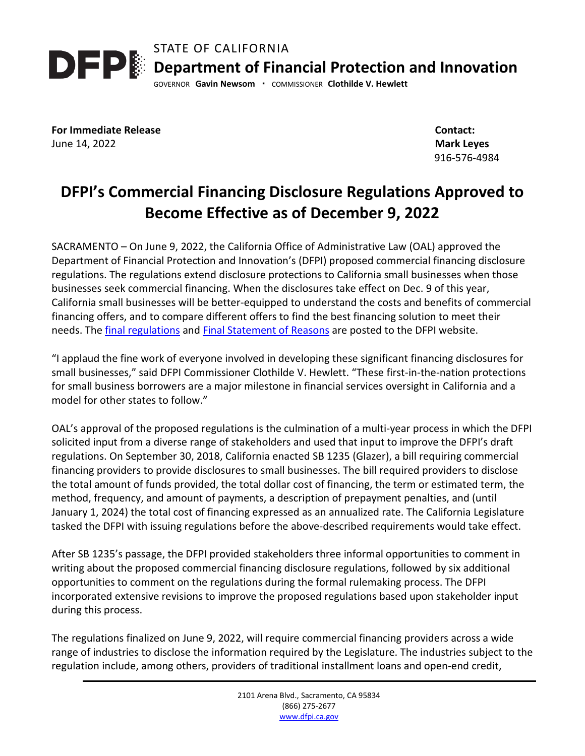STATE OF CALIFORNIA **DEP** Department of Financial Protection and Innovation GOVERNOR **Gavin Newsom ·** COMMISSIONER **Clothilde V. Hewlett**

**For Immediate Release** June 14, 2022

 **Contact: Mark Leyes** 916-576-4984

## **DFPI's Commercial Financing Disclosure Regulations Approved to Become Effective as of December 9, 2022**

SACRAMENTO – On June 9, 2022, the California Office of Administrative Law (OAL) approved the Department of Financial Protection and Innovation's (DFPI) proposed commercial financing disclosure regulations. The regulations extend disclosure protections to California small businesses when those businesses seek commercial financing. When the disclosures take effect on Dec. 9 of this year, California small businesses will be better-equipped to understand the costs and benefits of commercial financing offers, and to compare different offers to find the best financing solution to meet their needs. The [final regulations](https://dfpi.ca.gov/wp-content/uploads/sites/337/2022/06/PRO-01-18-Commercial-Financing-Disclosure-Regulation-Final-Text.pdf) and [Final Statement of Reasons](https://dfpi.ca.gov/wp-content/uploads/sites/337/2022/06/PRO-01-18-Commercial-Financing-Disclosure-Regulation-FSOR.pdf) are posted to the DFPI website.

"I applaud the fine work of everyone involved in developing these significant financing disclosures for small businesses," said DFPI Commissioner Clothilde V. Hewlett. "These first-in-the-nation protections for small business borrowers are a major milestone in financial services oversight in California and a model for other states to follow."

OAL's approval of the proposed regulations is the culmination of a multi-year process in which the DFPI solicited input from a diverse range of stakeholders and used that input to improve the DFPI's draft regulations. On September 30, 2018, California enacted SB 1235 (Glazer), a bill requiring commercial financing providers to provide disclosures to small businesses. The bill required providers to disclose the total amount of funds provided, the total dollar cost of financing, the term or estimated term, the method, frequency, and amount of payments, a description of prepayment penalties, and (until January 1, 2024) the total cost of financing expressed as an annualized rate. The California Legislature tasked the DFPI with issuing regulations before the above-described requirements would take effect.

After SB 1235's passage, the DFPI provided stakeholders three informal opportunities to comment in writing about the proposed commercial financing disclosure regulations, followed by six additional opportunities to comment on the regulations during the formal rulemaking process. The DFPI incorporated extensive revisions to improve the proposed regulations based upon stakeholder input during this process.

The regulations finalized on June 9, 2022, will require commercial financing providers across a wide range of industries to disclose the information required by the Legislature. The industries subject to the regulation include, among others, providers of traditional installment loans and open-end credit,

> 2101 Arena Blvd., Sacramento, CA 95834 (866) 275-2677 [www.dfpi.ca.gov](http://www.dfpi.ca.gov/)